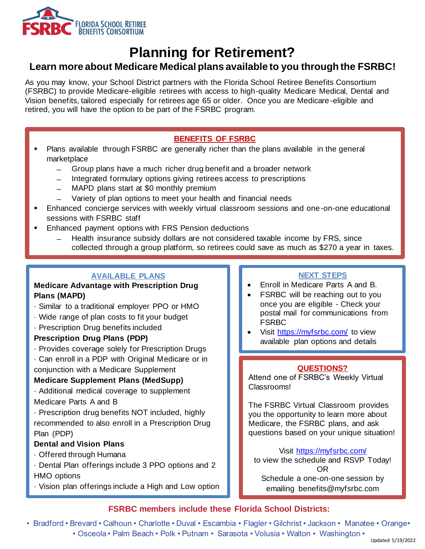

# **Planning for Retirement?**

# **Learn more about Medicare Medical plans available to you through the FSRBC!**

As you may know, your School District partners with the Florida School Retiree Benefits Consortium (FSRBC) to provide Medicare-eligible retirees with access to high-quality Medicare Medical, Dental and Vision benefits, tailored especially for retirees age 65 or older. Once you are Medicare -eligible and retired, you will have the option to be part of the FSRBC program.

## **BENEFITS OF FSRBC**

- Plans available through FSRBC are generally richer than the plans available in the general marketplace
	- ̶ Group plans have a much richer drug benefit and a broader network
	- ̶ Integrated formulary options giving retirees access to prescriptions
	- ̶ MAPD plans start at \$0 monthly premium
	- Variety of plan options to meet your health and financial needs
- Enhanced concierge services with weekly virtual classroom sessions and one-on-one educational sessions with FSRBC staff
- Enhanced payment options with FRS Pension deductions
	- ̶ Health insurance subsidy dollars are not considered taxable income by FRS, since collected through a group platform, so retirees could save as much as \$270 a year in taxes.

# **AVAILABLE PLANS**

### **Medicare Advantage with Prescription Drug Plans (MAPD)**

- · Similar to a traditional employer PPO or HMO
- · Wide range of plan costs to fit your budget
- · Prescription Drug benefits included

### **Prescription Drug Plans (PDP)**

· Provides coverage solely for Prescription Drugs

· Can enroll in a PDP with Original Medicare or in conjunction with a Medicare Supplement

## **Medicare Supplement Plans (MedSupp)**

· Additional medical coverage to supplement Medicare Parts A and B

· Prescription drug benefits NOT included, highly recommended to also enroll in a Prescription Drug Plan (PDP)

### **Dental and Vision Plans**

- · Offered through Humana
- · Dental Plan offerings include 3 PPO options and 2 HMO options
- · Vision plan offerings include a High and Low option

### **NEXT STEPS**

- Enroll in Medicare Parts A and B.
- FSRBC will be reaching out to you once you are eligible - Check your postal mail for communications from FSRBC
- Visit<https://myfsrbc.com/> to view available plan options and details

### **QUESTIONS?**

Attend one of FSRBC's Weekly Virtual Classrooms!

The FSRBC Virtual Classroom provides you the opportunity to learn more about Medicare, the FSRBC plans, and ask questions based on your unique situation!

Visit<https://myfsrbc.com/> to view the schedule and RSVP Today! OR

Schedule a one-on-one session by emailing benefits@myfsrbc.com

# **FSRBC members include these Florida School Districts:**

• Bradford • Brevard • Calhoun • Charlotte • Duval • Escambia • Flagler • Gilchrist • Jackson • Manatee • Orange• • Osceola • Palm Beach • Polk • Putnam • Sarasota • Volusia • Walton • Washington •